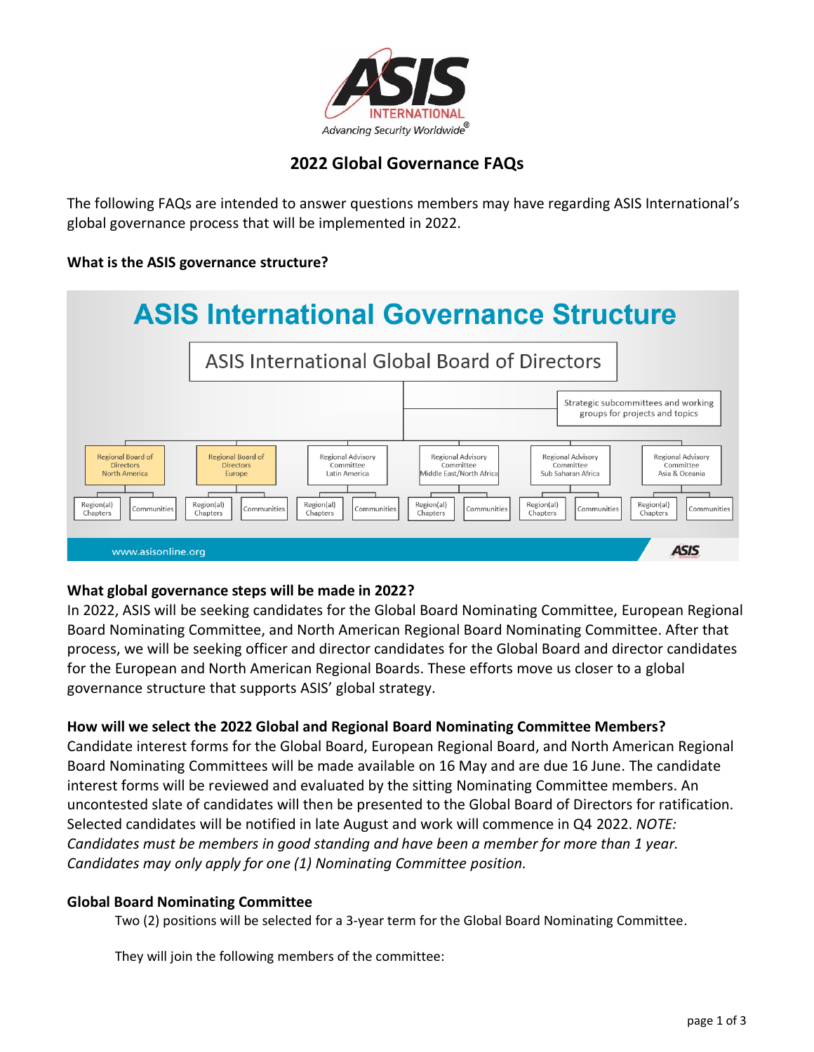

# **2022 Global Governance FAQs**

The following FAQs are intended to answer questions members may have regarding ASIS International's global governance process that will be implemented in 2022.

# **What is the ASIS governance structure?**



# **What global governance steps will be made in 2022?**

In 2022, ASIS will be seeking candidates for the Global Board Nominating Committee, European Regional Board Nominating Committee, and North American Regional Board Nominating Committee. After that process, we will be seeking officer and director candidates for the Global Board and director candidates for the European and North American Regional Boards. These efforts move us closer to a global governance structure that supports ASIS' global strategy.

# **How will we select the 2022 Global and Regional Board Nominating Committee Members?**

Candidate interest forms for the Global Board, European Regional Board, and North American Regional Board Nominating Committees will be made available on 16 May and are due 16 June. The candidate interest forms will be reviewed and evaluated by the sitting Nominating Committee members. An uncontested slate of candidates will then be presented to the Global Board of Directors for ratification. Selected candidates will be notified in late August and work will commence in Q4 2022. *NOTE: Candidates must be members in good standing and have been a member for more than 1 year. Candidates may only apply for one (1) Nominating Committee position.*

# **Global Board Nominating Committee**

Two (2) positions will be selected for a 3-year term for the Global Board Nominating Committee.

They will join the following members of the committee: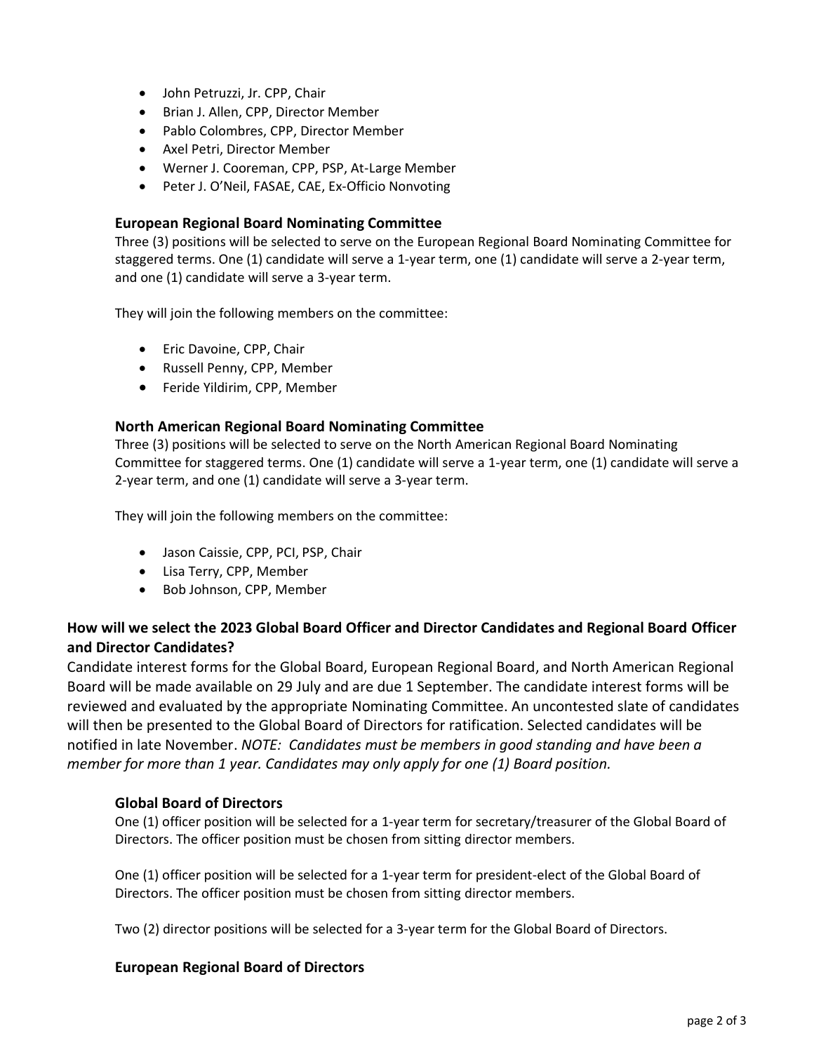- John Petruzzi, Jr. CPP, Chair
- Brian J. Allen, CPP, Director Member
- Pablo Colombres, CPP, Director Member
- Axel Petri, Director Member
- Werner J. Cooreman, CPP, PSP, At-Large Member
- Peter J. O'Neil, FASAE, CAE, Ex-Officio Nonvoting

#### **European Regional Board Nominating Committee**

Three (3) positions will be selected to serve on the European Regional Board Nominating Committee for staggered terms. One (1) candidate will serve a 1-year term, one (1) candidate will serve a 2-year term, and one (1) candidate will serve a 3-year term.

They will join the following members on the committee:

- Eric Davoine, CPP, Chair
- Russell Penny, CPP, Member
- Feride Yildirim, CPP, Member

### **North American Regional Board Nominating Committee**

Three (3) positions will be selected to serve on the North American Regional Board Nominating Committee for staggered terms. One (1) candidate will serve a 1-year term, one (1) candidate will serve a 2-year term, and one (1) candidate will serve a 3-year term.

They will join the following members on the committee:

- Jason Caissie, CPP, PCI, PSP, Chair
- Lisa Terry, CPP, Member
- Bob Johnson, CPP, Member

# **How will we select the 2023 Global Board Officer and Director Candidates and Regional Board Officer and Director Candidates?**

Candidate interest forms for the Global Board, European Regional Board, and North American Regional Board will be made available on 29 July and are due 1 September. The candidate interest forms will be reviewed and evaluated by the appropriate Nominating Committee. An uncontested slate of candidates will then be presented to the Global Board of Directors for ratification. Selected candidates will be notified in late November. *NOTE: Candidates must be members in good standing and have been a member for more than 1 year. Candidates may only apply for one (1) Board position.*

# **Global Board of Directors**

One (1) officer position will be selected for a 1-year term for secretary/treasurer of the Global Board of Directors. The officer position must be chosen from sitting director members.

One (1) officer position will be selected for a 1-year term for president-elect of the Global Board of Directors. The officer position must be chosen from sitting director members.

Two (2) director positions will be selected for a 3-year term for the Global Board of Directors.

#### **European Regional Board of Directors**